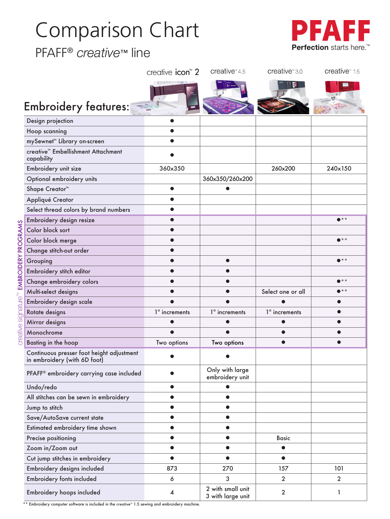### Comparison Chart

#### PFAFF® *creative*™ line



|                                                                           | creative icon <sup>™</sup> 2 | creative $4.5$                         | creative <sup>*</sup> 3.0 | creative <sup>*</sup> 1.5 |
|---------------------------------------------------------------------------|------------------------------|----------------------------------------|---------------------------|---------------------------|
|                                                                           |                              |                                        |                           |                           |
| <b>Embroidery features:</b>                                               |                              |                                        |                           |                           |
| Design projection                                                         |                              |                                        |                           |                           |
| Hoop scanning                                                             | 0                            |                                        |                           |                           |
| mySewnet <sup>™</sup> Library on-screen                                   |                              |                                        |                           |                           |
| creative™ Embellishment Attachment<br>capability                          |                              |                                        |                           |                           |
| Embroidery unit size                                                      | 360x350                      |                                        | 260x200                   | 240×150                   |
| Optional embroidery units                                                 |                              | 360x350/260x200                        |                           |                           |
| Shape Creator <sup>™</sup>                                                | $\bullet$                    |                                        |                           |                           |
| Appliqué Creator                                                          | $\bullet$                    |                                        |                           |                           |
| Select thread colors by brand numbers                                     | $\bullet$                    |                                        |                           |                           |
| Embroidery design resize                                                  | $\bullet$                    |                                        |                           | $\bullet$ **              |
| Color block sort                                                          | $\bullet$                    |                                        |                           |                           |
| Color block merge                                                         | $\bullet$                    |                                        |                           | $\bullet$ **              |
| Change stitch-out order                                                   |                              |                                        |                           |                           |
| Grouping                                                                  |                              |                                        |                           | $\bullet$ **              |
| Embroidery stitch editor                                                  |                              |                                        |                           |                           |
| Change embroidery colors                                                  |                              |                                        |                           | $\bullet$ **              |
| Multi-select designs                                                      |                              |                                        | Select one or all         | $\bullet$ **              |
| Embroidery design scale                                                   |                              |                                        |                           |                           |
| Rotate designs                                                            | 1° increments                | 1° increments                          | 1° increments             |                           |
| Mirror designs                                                            |                              |                                        |                           |                           |
| Monochrome                                                                |                              |                                        |                           |                           |
| Basting in the hoop                                                       | Two options                  | Two options                            |                           |                           |
| Continuous presser foot height adjustment<br>in embroidery (with 6D foot) |                              |                                        |                           |                           |
| PFAFF® embroidery carrying case included                                  |                              | Only with large<br>embroidery unit     |                           |                           |
| Undo/redo                                                                 | $\bullet$                    | $\bullet$                              |                           |                           |
| All stitches can be sewn in embroidery                                    | $\bullet$                    | $\bullet$                              |                           |                           |
| Jump to stitch                                                            | $\bullet$                    | $\bullet$                              |                           |                           |
| Save/AutoSave current state                                               | $\bullet$                    | $\bullet$                              |                           |                           |
| Estimated embroidery time shown                                           |                              | $\bullet$                              |                           |                           |
| Precise positioning                                                       | $\bullet$                    | $\bullet$                              | <b>Basic</b>              |                           |
| Zoom in/Zoom out                                                          | $\bullet$                    | $\bullet$                              | $\bullet$                 |                           |
| Cut jump stitches in embroidery                                           | $\bullet$                    | $\bullet$                              | $\bullet$                 |                           |
| Embroidery designs included                                               | 873                          | 270                                    | 157                       | 101                       |
| Embroidery fonts included                                                 | 6                            | 3                                      | $\overline{2}$            | $\overline{2}$            |
| Embroidery hoops included                                                 | 4                            | 2 with small unit<br>3 with large unit | $\overline{2}$            | 1                         |

\*\* Embroidery computer software is included in the *creative*™ 1.5 sewing and embroidery machine.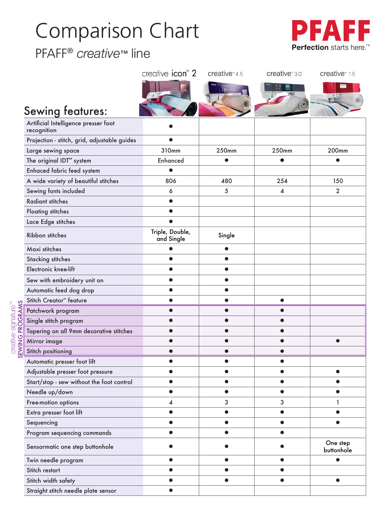# Comparison Chart

PFAFF® *creative*™ line

creative signature

SEWING PROGRAMS

™



|                                              | creative icon <sup>™</sup> 2  | $createive*4.5$ | creative <sup>*</sup> 3.0 | creative <sup>*</sup> 15 |
|----------------------------------------------|-------------------------------|-----------------|---------------------------|--------------------------|
|                                              |                               |                 |                           |                          |
|                                              |                               |                 |                           |                          |
| <b>Sewing features:</b>                      |                               |                 |                           |                          |
| Artificial Intelligence presser foot         |                               |                 |                           |                          |
| recognition                                  |                               |                 |                           |                          |
| Projection - stitch, grid, adjustable guides |                               |                 |                           |                          |
| Large sewing space                           | 310mm                         | 250mm           | 250mm                     | 200mm                    |
| The original IDT <sup>"</sup> system         | <b>Enhanced</b>               | $\bullet$       | $\bullet$                 |                          |
| Enhaced fabric feed system                   |                               |                 |                           |                          |
| A wide variety of beautiful stitches         | 806                           | 480             | 254                       | 150                      |
| Sewing fonts included                        | 6                             | 5               | 4                         | $\overline{2}$           |
| <b>Radiant stitches</b>                      | $\bullet$                     |                 |                           |                          |
| <b>Floating stitches</b>                     |                               |                 |                           |                          |
| Lace Edge stitches                           |                               |                 |                           |                          |
| Ribbon stitches                              | Triple, Double,<br>and Single | Single          |                           |                          |
| Maxi stitches                                |                               | $\bullet$       |                           |                          |
| <b>Stacking stitches</b>                     |                               |                 |                           |                          |
| Electronic knee-lift                         |                               |                 |                           |                          |
| Sew with embroidery unit on                  |                               | ●               |                           |                          |
| Automatic feed dog drop                      |                               |                 |                           |                          |
| Stitch Creator <sup>™</sup> feature          |                               |                 |                           |                          |
| Patchwork program                            |                               |                 |                           |                          |
| Single stitch program                        |                               |                 |                           |                          |
| Tapering on all 9mm decorative stitches      |                               |                 |                           |                          |
| Mirror image                                 |                               |                 |                           |                          |
| Stitch positioning                           |                               |                 |                           |                          |
| Automatic presser foot lift                  |                               |                 |                           |                          |
| Adjustable presser foot pressure             |                               |                 |                           |                          |
| Start/stop - sew without the foot control    |                               |                 |                           |                          |
| Needle up/down                               |                               |                 |                           |                          |
| Free-motion options                          | 4                             | 3               | 3                         | 1                        |
| Extra presser foot lift                      |                               |                 |                           |                          |
| Sequencing                                   |                               |                 |                           |                          |
| Program sequencing commands                  | ●                             | ●               | Δ                         |                          |
| Sensormatic one step buttonhole              |                               |                 |                           | One step<br>buttonhole   |
| Twin needle program                          |                               |                 |                           |                          |
| Stitch restart                               |                               |                 |                           |                          |
| Stitch width safety                          |                               |                 | $\bullet$                 |                          |
| Straight stitch needle plate sensor          |                               |                 |                           |                          |